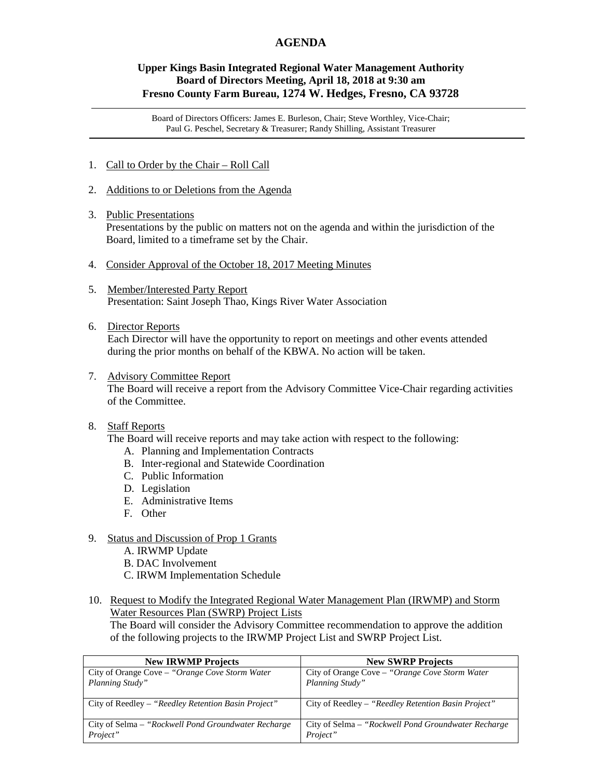# **AGENDA**

### **Upper Kings Basin Integrated Regional Water Management Authority Board of Directors Meeting, April 18, 2018 at 9:30 am Fresno County Farm Bureau, 1274 W. Hedges, Fresno, CA 93728**

Board of Directors Officers: James E. Burleson, Chair; Steve Worthley, Vice-Chair; Paul G. Peschel, Secretary & Treasurer; Randy Shilling, Assistant Treasurer

- 1. Call to Order by the Chair Roll Call
- 2. Additions to or Deletions from the Agenda
- 3. Public Presentations Presentations by the public on matters not on the agenda and within the jurisdiction of the Board, limited to a timeframe set by the Chair.
- 4. Consider Approval of the October 18, 2017 Meeting Minutes
- 5. Member/Interested Party Report Presentation: Saint Joseph Thao, Kings River Water Association
- 6. Director Reports

 Each Director will have the opportunity to report on meetings and other events attended during the prior months on behalf of the KBWA. No action will be taken.

7. Advisory Committee Report The Board will receive a report from the Advisory Committee Vice-Chair regarding activities of the Committee.

#### 8. Staff Reports

The Board will receive reports and may take action with respect to the following:

- A. Planning and Implementation Contracts
- B. Inter-regional and Statewide Coordination
- C. Public Information
- D. Legislation
- E. Administrative Items
- F. Other
- 9. Status and Discussion of Prop 1 Grants
	- A. IRWMP Update
	- B. DAC Involvement
	- C. IRWM Implementation Schedule
- 10. Request to Modify the Integrated Regional Water Management Plan (IRWMP) and Storm Water Resources Plan (SWRP) Project Lists

 The Board will consider the Advisory Committee recommendation to approve the addition of the following projects to the IRWMP Project List and SWRP Project List.

| <b>New IRWMP Projects</b>                                        | <b>New SWRP Projects</b>                                         |
|------------------------------------------------------------------|------------------------------------------------------------------|
| City of Orange Cove - "Orange Cove Storm Water                   | City of Orange Cove - "Orange Cove Storm Water                   |
| Planning Study"                                                  | Planning Study"                                                  |
| City of Reedley - "Reedley Retention Basin Project"              | City of Reedley - "Reedley Retention Basin Project"              |
| City of Selma – "Rockwell Pond Groundwater Recharge"<br>Project" | City of Selma – "Rockwell Pond Groundwater Recharge"<br>Project" |